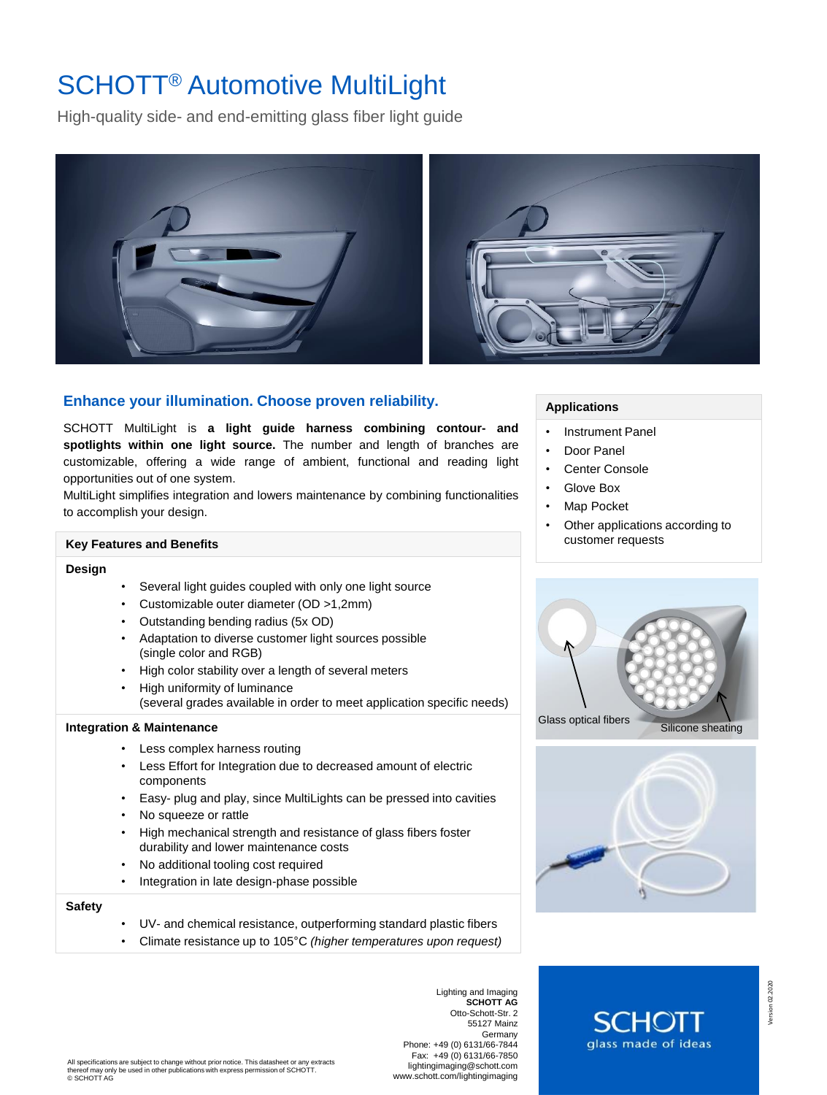# SCHOTT® Automotive MultiLight

High-quality side- and end-emitting glass fiber light guide



# **Enhance your illumination. Choose proven reliability.**

SCHOTT MultiLight is **a light guide harness combining contour- and spotlights within one light source.** The number and length of branches are customizable, offering a wide range of ambient, functional and reading light opportunities out of one system.

MultiLight simplifies integration and lowers maintenance by combining functionalities to accomplish your design.

# **Key Features and Benefits**

#### **Design**

- Several light guides coupled with only one light source
- Customizable outer diameter (OD >1,2mm)
- Outstanding bending radius (5x OD)
- Adaptation to diverse customer light sources possible (single color and RGB)
- High color stability over a length of several meters
- High uniformity of luminance (several grades available in order to meet application specific needs)

#### **Integration & Maintenance**

- Less complex harness routing
- Less Effort for Integration due to decreased amount of electric components
- Easy- plug and play, since MultiLights can be pressed into cavities
- No squeeze or rattle
- High mechanical strength and resistance of glass fibers foster durability and lower maintenance costs
- No additional tooling cost required
- Integration in late design-phase possible

## **Safety**

- UV- and chemical resistance, outperforming standard plastic fibers
- Climate resistance up to 105°C *(higher temperatures upon request)*

Lighting and Imaging **SCHOTT AG** Otto-Schott-Str. 2 55127 Mainz Germany Phone: +49 (0) 6131/66-7844 Fax: +49 (0) 6131/66-7850 lightingimaging@schott.com www.schott.com/lightingimaging **Applications**

- Instrument Panel
- Door Panel
- Center Console
- Glove Box
- Map Pocket
- Other applications according to customer requests







glass made of ideas

Version 02.2020

Version 02.2020